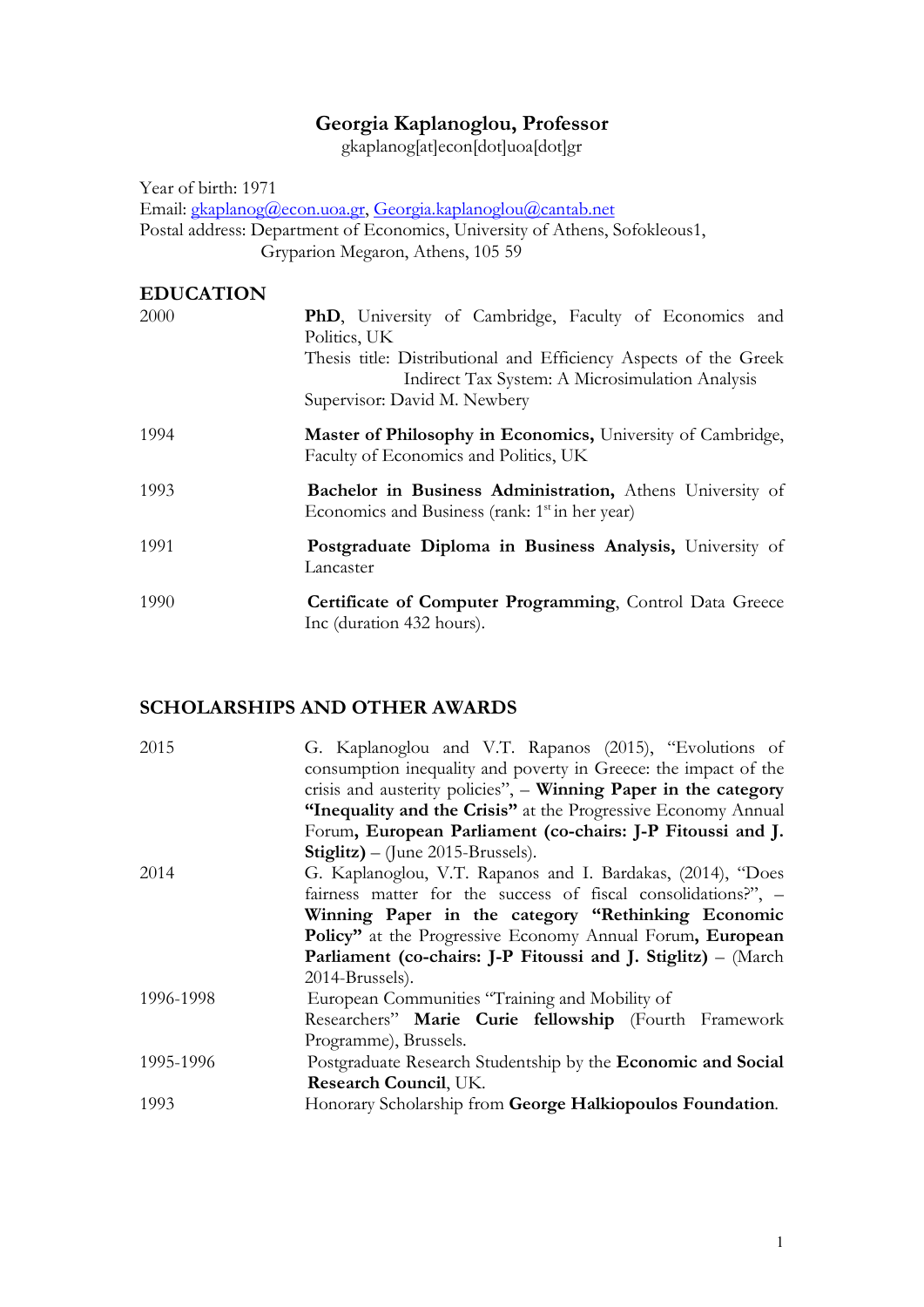# Georgia Kaplanoglou, Professor

gkaplanog[at]econ[dot]uoa[dot]gr

Year of birth: 1971 Email: gkaplanog@econ.uoa.gr, Georgia.kaplanoglou@cantab.net Postal address: Department of Economics, University of Athens, Sofokleous1, Gryparion Megaron, Athens, 105 59

#### EDUCATION

| 2000 | <b>PhD</b> , University of Cambridge, Faculty of Economics and<br>Politics, UK                                          |
|------|-------------------------------------------------------------------------------------------------------------------------|
|      | Thesis title: Distributional and Efficiency Aspects of the Greek<br>Indirect Tax System: A Microsimulation Analysis     |
|      | Supervisor: David M. Newbery                                                                                            |
| 1994 | Master of Philosophy in Economics, University of Cambridge,<br>Faculty of Economics and Politics, UK                    |
| 1993 | Bachelor in Business Administration, Athens University of<br>Economics and Business (rank: 1 <sup>st</sup> in her year) |
| 1991 | Postgraduate Diploma in Business Analysis, University of<br>Lancaster                                                   |
| 1990 | Certificate of Computer Programming, Control Data Greece<br>Inc (duration 432 hours).                                   |

## SCHOLARSHIPS AND OTHER AWARDS

| 2015      | G. Kaplanoglou and V.T. Rapanos (2015), "Evolutions of               |
|-----------|----------------------------------------------------------------------|
|           | consumption inequality and poverty in Greece: the impact of the      |
|           | crisis and austerity policies", - Winning Paper in the category      |
|           | "Inequality and the Crisis" at the Progressive Economy Annual        |
|           | Forum, European Parliament (co-chairs: J-P Fitoussi and J.           |
|           | <b>Stiglitz)</b> – (June 2015-Brussels).                             |
| 2014      | G. Kaplanoglou, V.T. Rapanos and I. Bardakas, (2014), "Does          |
|           | fairness matter for the success of fiscal consolidations?", -        |
|           | Winning Paper in the category "Rethinking Economic                   |
|           | Policy" at the Progressive Economy Annual Forum, European            |
|           | <b>Parliament (co-chairs: J-P Fitoussi and J. Stiglitz)</b> – (March |
|           | 2014-Brussels).                                                      |
| 1996-1998 | European Communities "Training and Mobility of                       |
|           | Researchers" Marie Curie fellowship (Fourth Framework                |
|           | Programme), Brussels.                                                |
| 1995-1996 | Postgraduate Research Studentship by the <b>Economic and Social</b>  |
|           | Research Council, UK.                                                |
| 1993      | Honorary Scholarship from George Halkiopoulos Foundation.            |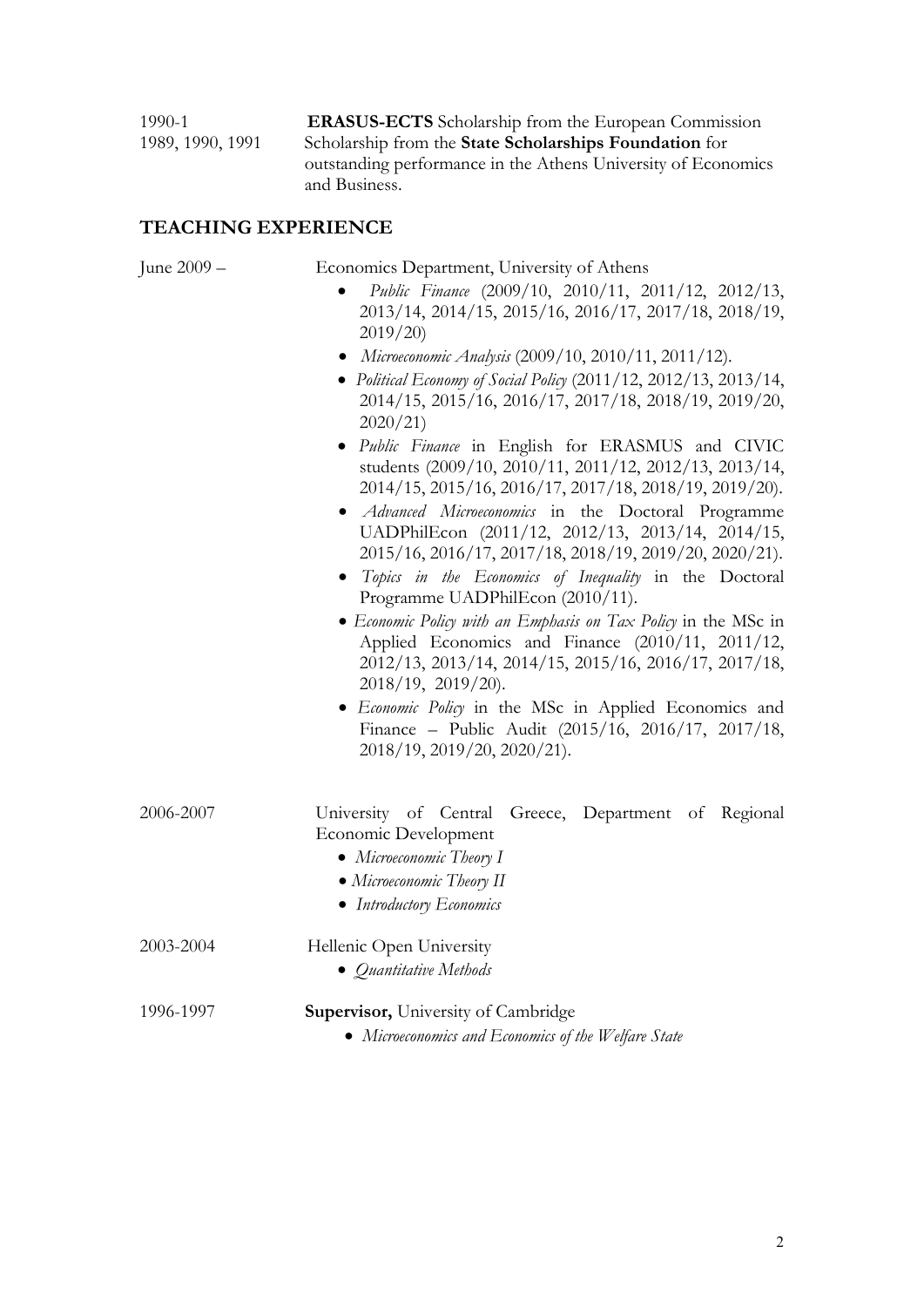1990-1 ERASUS-ECTS Scholarship from the European Commission 1989, 1990, 1991 Scholarship from the State Scholarships Foundation for outstanding performance in the Athens University of Economics and Business.

## TEACHING EXPERIENCE

| June 2009 – | Economics Department, University of Athens<br>Public Finance (2009/10, 2010/11, 2011/12, 2012/13,<br>2013/14, 2014/15, 2015/16, 2016/17, 2017/18, 2018/19,<br>2019/20<br>• Microeconomic Analysis (2009/10, 2010/11, 2011/12).<br>• Political Economy of Social Policy (2011/12, 2012/13, 2013/14,<br>2014/15, 2015/16, 2016/17, 2017/18, 2018/19, 2019/20,<br>2020/21<br>· Public Finance in English for ERASMUS and CIVIC<br>students (2009/10, 2010/11, 2011/12, 2012/13, 2013/14,<br>2014/15, 2015/16, 2016/17, 2017/18, 2018/19, 2019/20).<br>• Advanced Microeconomics in the Doctoral Programme<br>UADPhilEcon (2011/12, 2012/13, 2013/14, 2014/15,<br>2015/16, 2016/17, 2017/18, 2018/19, 2019/20, 2020/21).<br>• Topics in the Economics of Inequality in the Doctoral<br>Programme UADPhilEcon (2010/11).<br>• Economic Policy with an Emphasis on Tax Policy in the MSc in<br>Applied Economics and Finance (2010/11, 2011/12,<br>2012/13, 2013/14, 2014/15, 2015/16, 2016/17, 2017/18,<br>2018/19, 2019/20).<br>· Economic Policy in the MSc in Applied Economics and<br>Finance - Public Audit (2015/16, 2016/17, 2017/18,<br>2018/19, 2019/20, 2020/21). |
|-------------|------------------------------------------------------------------------------------------------------------------------------------------------------------------------------------------------------------------------------------------------------------------------------------------------------------------------------------------------------------------------------------------------------------------------------------------------------------------------------------------------------------------------------------------------------------------------------------------------------------------------------------------------------------------------------------------------------------------------------------------------------------------------------------------------------------------------------------------------------------------------------------------------------------------------------------------------------------------------------------------------------------------------------------------------------------------------------------------------------------------------------------------------------------------------|
| 2006-2007   | University of Central Greece, Department of Regional<br>Economic Development<br>• Microeconomic Theory I<br>• Microeconomic Theory II<br>• Introductory Economics                                                                                                                                                                                                                                                                                                                                                                                                                                                                                                                                                                                                                                                                                                                                                                                                                                                                                                                                                                                                      |
| 2003-2004   | Hellenic Open University<br>• Quantitative Methods                                                                                                                                                                                                                                                                                                                                                                                                                                                                                                                                                                                                                                                                                                                                                                                                                                                                                                                                                                                                                                                                                                                     |
| 1996-1997   | <b>Supervisor, University of Cambridge</b><br>• Microeconomics and Economics of the Welfare State                                                                                                                                                                                                                                                                                                                                                                                                                                                                                                                                                                                                                                                                                                                                                                                                                                                                                                                                                                                                                                                                      |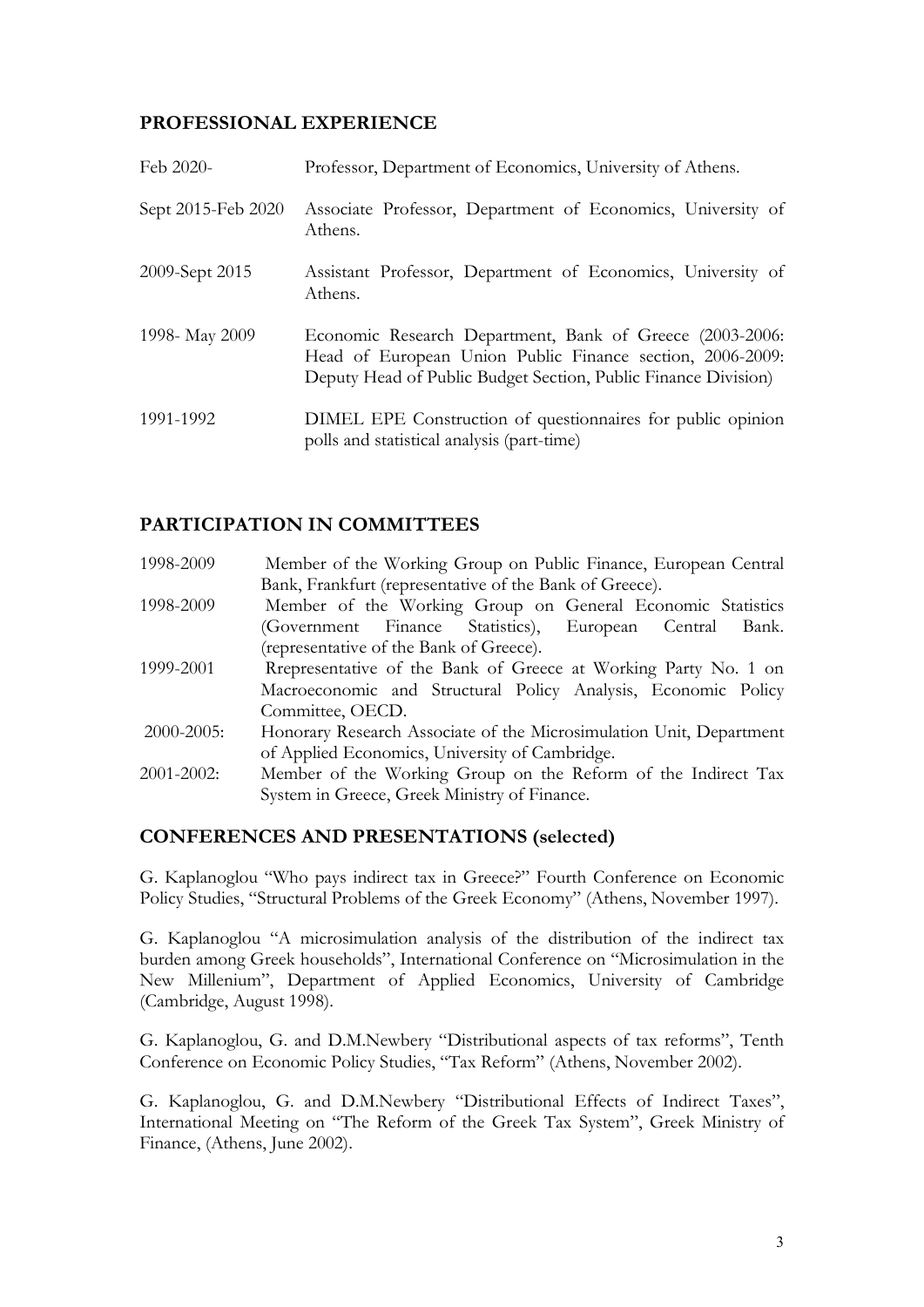## PROFESSIONAL EXPERIENCE

| Feb 2020-          | Professor, Department of Economics, University of Athens.                                                                                                                               |
|--------------------|-----------------------------------------------------------------------------------------------------------------------------------------------------------------------------------------|
| Sept 2015-Feb 2020 | Associate Professor, Department of Economics, University of<br>Athens.                                                                                                                  |
| 2009-Sept 2015     | Assistant Professor, Department of Economics, University of<br>Athens.                                                                                                                  |
| 1998- May 2009     | Economic Research Department, Bank of Greece (2003-2006:<br>Head of European Union Public Finance section, 2006-2009:<br>Deputy Head of Public Budget Section, Public Finance Division) |
| 1991-1992          | DIMEL EPE Construction of questionnaires for public opinion<br>polls and statistical analysis (part-time)                                                                               |

## PARTICIPATION IN COMMITTEES

| 1998-2009       | Member of the Working Group on Public Finance, European Central     |
|-----------------|---------------------------------------------------------------------|
|                 | Bank, Frankfurt (representative of the Bank of Greece).             |
| 1998-2009       | Member of the Working Group on General Economic Statistics          |
|                 | (Government Finance Statistics), European Central<br>Bank.          |
|                 | (representative of the Bank of Greece).                             |
| 1999-2001       | Representative of the Bank of Greece at Working Party No. 1 on      |
|                 | Macroeconomic and Structural Policy Analysis, Economic Policy       |
|                 | Committee, OECD.                                                    |
| $2000 - 2005$ : | Honorary Research Associate of the Microsimulation Unit, Department |
|                 | of Applied Economics, University of Cambridge.                      |
| 2001-2002:      | Member of the Working Group on the Reform of the Indirect Tax       |
|                 | System in Greece, Greek Ministry of Finance.                        |

## CONFERENCES AND PRESENTATIONS (selected)

G. Kaplanoglou "Who pays indirect tax in Greece?" Fourth Conference on Economic Policy Studies, "Structural Problems of the Greek Economy" (Athens, November 1997).

G. Kaplanoglou "A microsimulation analysis of the distribution of the indirect tax burden among Greek households", International Conference on "Microsimulation in the New Millenium", Department of Applied Economics, University of Cambridge (Cambridge, August 1998).

G. Kaplanoglou, G. and D.M.Newbery "Distributional aspects of tax reforms", Tenth Conference on Economic Policy Studies, "Tax Reform" (Athens, November 2002).

G. Kaplanoglou, G. and D.M.Newbery "Distributional Effects of Indirect Taxes", International Meeting on "The Reform of the Greek Tax System", Greek Ministry of Finance, (Athens, June 2002).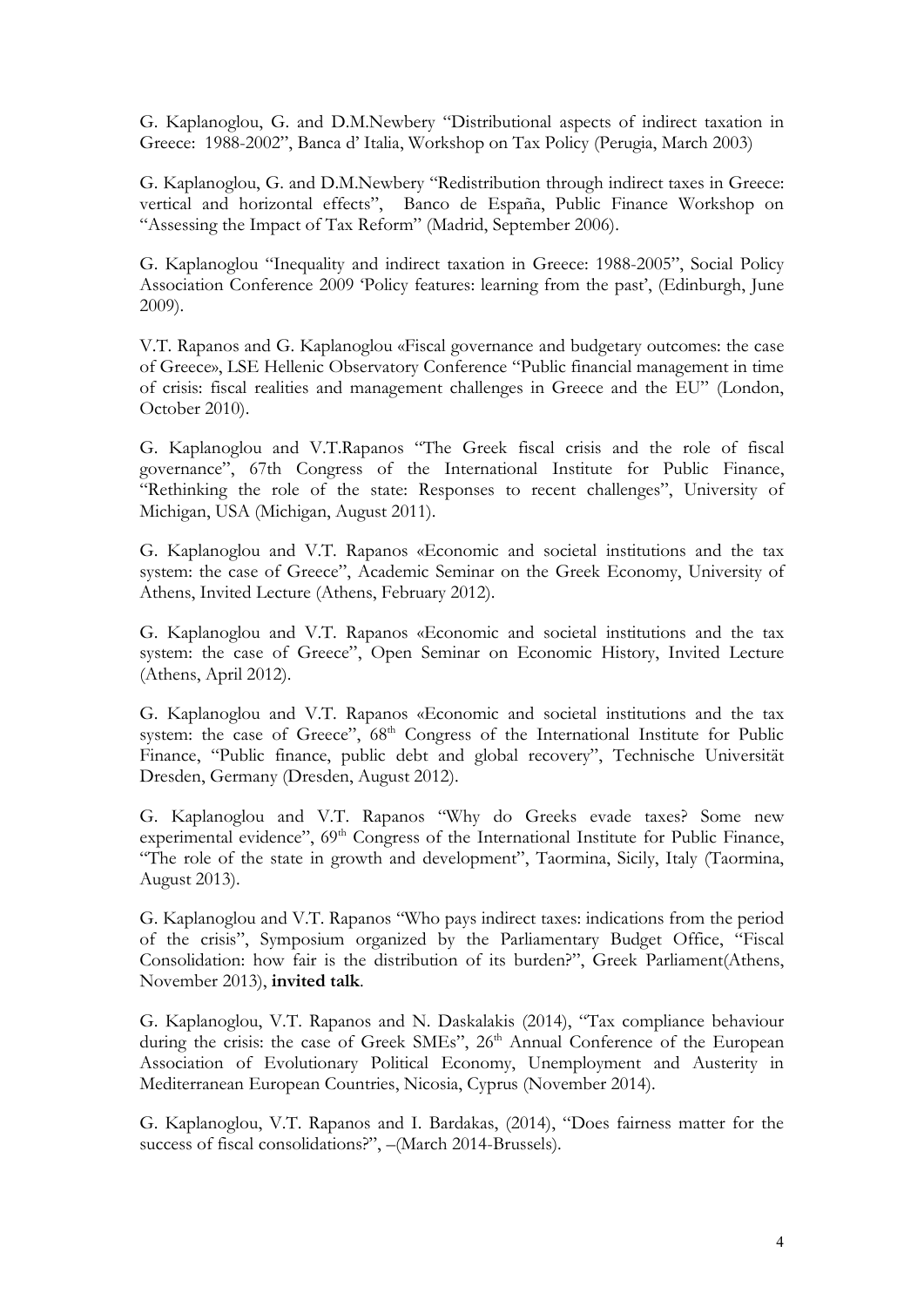G. Kaplanoglou, G. and D.M.Newbery "Distributional aspects of indirect taxation in Greece: 1988-2002", Banca d' Italia, Workshop on Tax Policy (Perugia, March 2003)

G. Kaplanoglou, G. and D.M.Newbery "Redistribution through indirect taxes in Greece: vertical and horizontal effects", Banco de España, Public Finance Workshop on "Assessing the Impact of Tax Reform" (Madrid, September 2006).

G. Kaplanoglou "Inequality and indirect taxation in Greece: 1988-2005", Social Policy Association Conference 2009 'Policy features: learning from the past', (Edinburgh, June 2009).

V.T. Rapanos and G. Kaplanoglou «Fiscal governance and budgetary outcomes: the case of Greece», LSE Hellenic Observatory Conference "Public financial management in time of crisis: fiscal realities and management challenges in Greece and the EU" (London, October 2010).

G. Kaplanoglou and V.T.Rapanos "The Greek fiscal crisis and the role of fiscal governance", 67th Congress of the International Institute for Public Finance, "Rethinking the role of the state: Responses to recent challenges", University of Michigan, USA (Michigan, August 2011).

G. Kaplanoglou and V.T. Rapanos «Economic and societal institutions and the tax system: the case of Greece", Academic Seminar on the Greek Economy, University of Athens, Invited Lecture (Athens, February 2012).

G. Kaplanoglou and V.T. Rapanos «Economic and societal institutions and the tax system: the case of Greece", Open Seminar on Economic History, Invited Lecture (Athens, April 2012).

G. Kaplanoglou and V.T. Rapanos «Economic and societal institutions and the tax system: the case of Greece",  $68<sup>th</sup>$  Congress of the International Institute for Public Finance, "Public finance, public debt and global recovery", Technische Universität Dresden, Germany (Dresden, August 2012).

G. Kaplanoglou and V.T. Rapanos "Why do Greeks evade taxes? Some new experimental evidence", 69<sup>th</sup> Congress of the International Institute for Public Finance, "The role of the state in growth and development", Taormina, Sicily, Italy (Taormina, August 2013).

G. Kaplanoglou and V.T. Rapanos "Who pays indirect taxes: indications from the period of the crisis", Symposium organized by the Parliamentary Budget Office, "Fiscal Consolidation: how fair is the distribution of its burden?", Greek Parliament(Athens, November 2013), invited talk.

G. Kaplanoglou, V.T. Rapanos and N. Daskalakis (2014), "Tax compliance behaviour during the crisis: the case of Greek SMEs", 26<sup>th</sup> Annual Conference of the European Association of Evolutionary Political Economy, Unemployment and Austerity in Mediterranean European Countries, Nicosia, Cyprus (November 2014).

G. Kaplanoglou, V.T. Rapanos and I. Bardakas, (2014), "Does fairness matter for the success of fiscal consolidations?", –(March 2014-Brussels).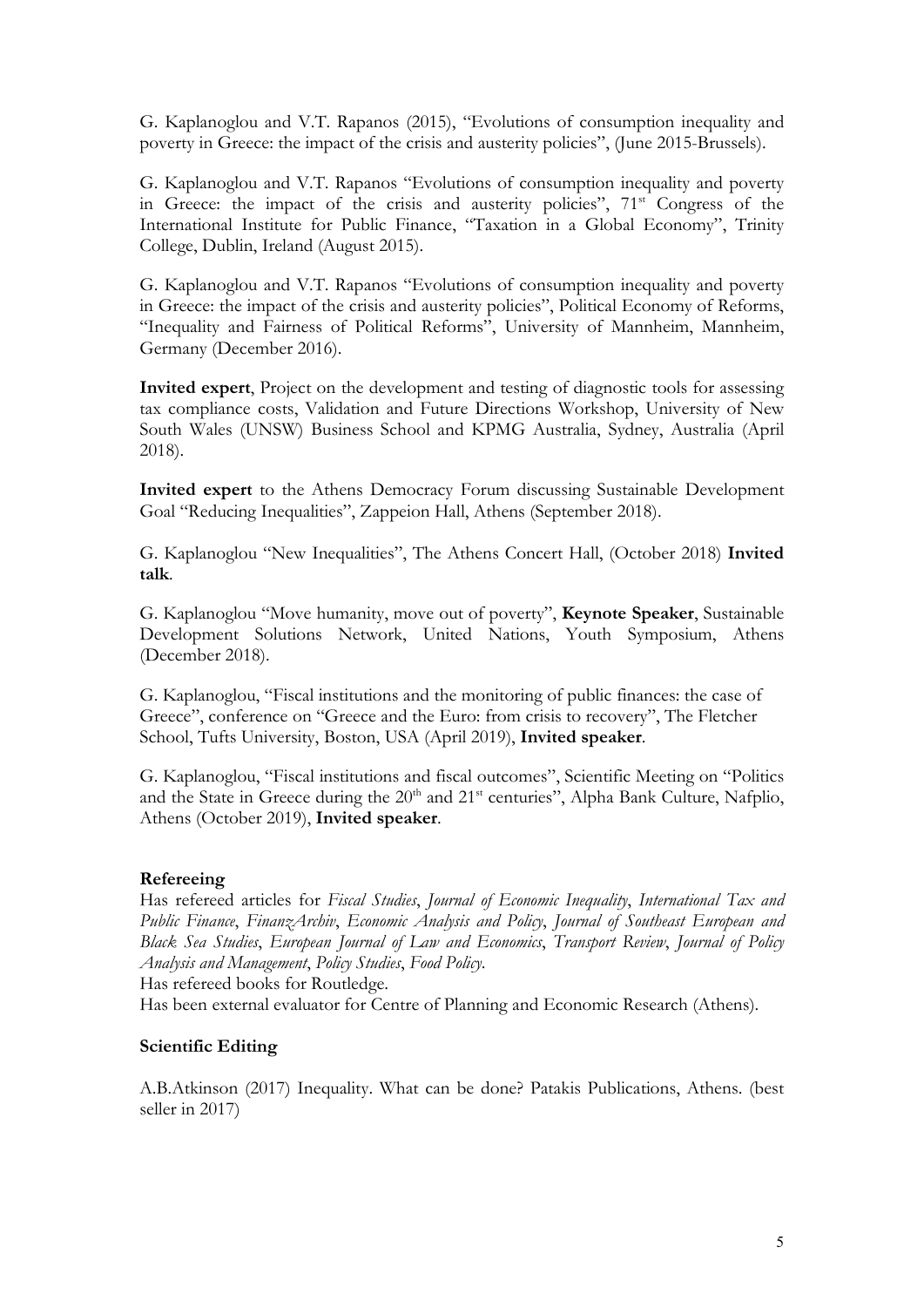G. Kaplanoglou and V.T. Rapanos (2015), "Evolutions of consumption inequality and poverty in Greece: the impact of the crisis and austerity policies", (June 2015-Brussels).

G. Kaplanoglou and V.T. Rapanos "Evolutions of consumption inequality and poverty in Greece: the impact of the crisis and austerity policies",  $71<sup>st</sup>$  Congress of the International Institute for Public Finance, "Taxation in a Global Economy", Trinity College, Dublin, Ireland (August 2015).

G. Kaplanoglou and V.T. Rapanos "Evolutions of consumption inequality and poverty in Greece: the impact of the crisis and austerity policies", Political Economy of Reforms, "Inequality and Fairness of Political Reforms", University of Mannheim, Mannheim, Germany (December 2016).

Invited expert, Project on the development and testing of diagnostic tools for assessing tax compliance costs, Validation and Future Directions Workshop, University of New South Wales (UNSW) Business School and KPMG Australia, Sydney, Australia (April 2018).

Invited expert to the Athens Democracy Forum discussing Sustainable Development Goal "Reducing Inequalities", Zappeion Hall, Athens (September 2018).

G. Kaplanoglou "New Inequalities", The Athens Concert Hall, (October 2018) Invited talk.

G. Kaplanoglou "Move humanity, move out of poverty", Keynote Speaker, Sustainable Development Solutions Network, United Nations, Youth Symposium, Athens (December 2018).

G. Kaplanoglou, "Fiscal institutions and the monitoring of public finances: the case of Greece", conference on "Greece and the Euro: from crisis to recovery", The Fletcher School, Tufts University, Boston, USA (April 2019), Invited speaker.

G. Kaplanoglou, "Fiscal institutions and fiscal outcomes", Scientific Meeting on "Politics and the State in Greece during the  $20<sup>th</sup>$  and  $21<sup>st</sup>$  centuries", Alpha Bank Culture, Nafplio, Athens (October 2019), Invited speaker.

#### Refereeing

Has refereed articles for Fiscal Studies, Journal of Economic Inequality, International Tax and Public Finance, Finanz Archiv, Economic Analysis and Policy, Journal of Southeast European and Black Sea Studies, European Journal of Law and Economics, Transport Review, Journal of Policy Analysis and Management, Policy Studies, Food Policy.

Has refereed books for Routledge.

Has been external evaluator for Centre of Planning and Economic Research (Athens).

#### Scientific Editing

A.B.Atkinson (2017) Inequality. What can be done? Patakis Publications, Athens. (best seller in 2017)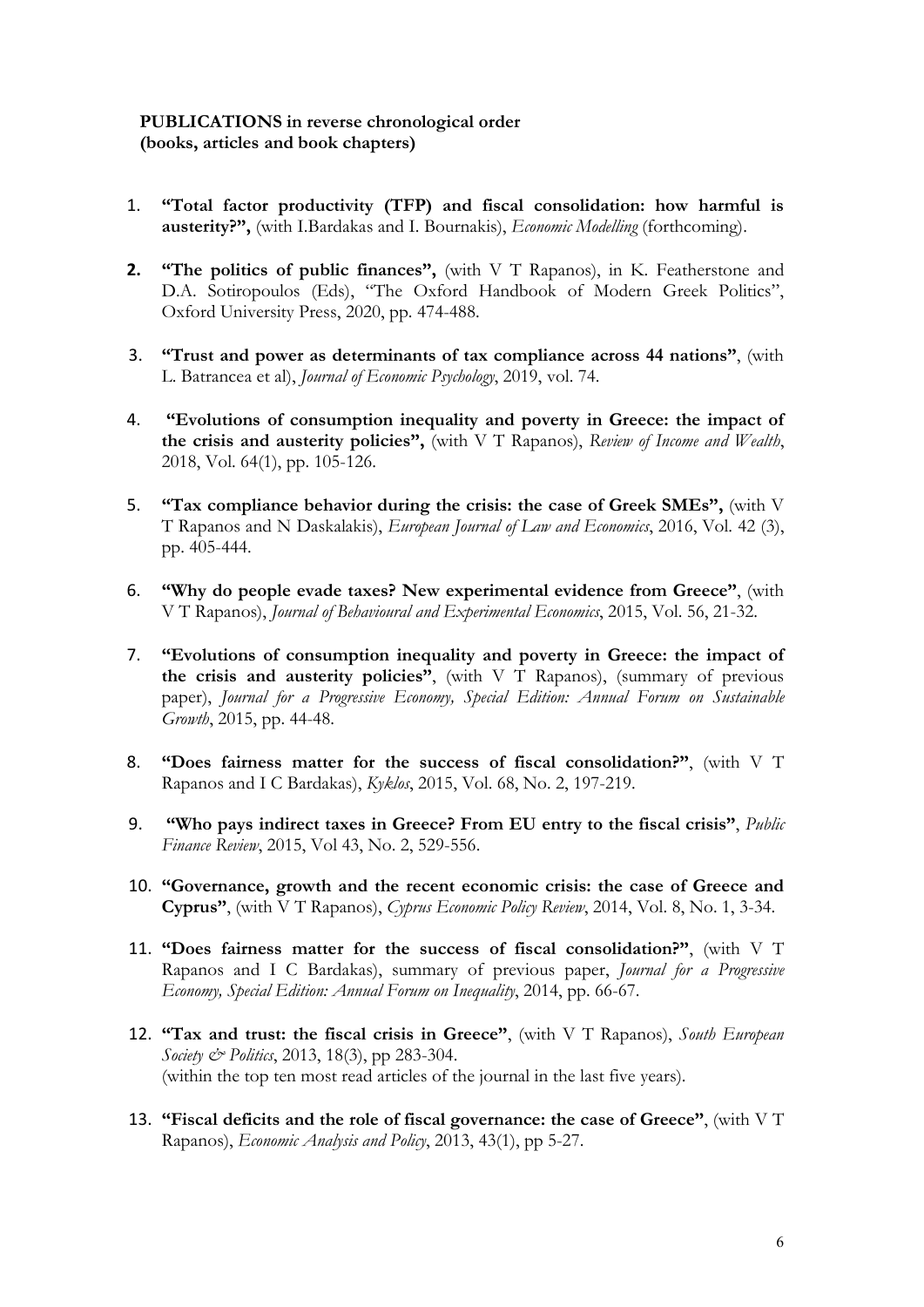#### PUBLICATIONS in reverse chronological order (books, articles and book chapters)

- 1. "Total factor productivity (TFP) and fiscal consolidation: how harmful is austerity?", (with I.Bardakas and I. Bournakis), Economic Modelling (forthcoming).
- 2. "The politics of public finances", (with V T Rapanos), in K. Featherstone and D.A. Sotiropoulos (Eds), "The Oxford Handbook of Modern Greek Politics", Oxford University Press, 2020, pp. 474-488.
- 3. "Trust and power as determinants of tax compliance across 44 nations", (with L. Batrancea et al), Journal of Economic Psychology, 2019, vol. 74.
- 4. "Evolutions of consumption inequality and poverty in Greece: the impact of the crisis and austerity policies", (with V T Rapanos), Review of Income and Wealth, 2018, Vol. 64(1), pp. 105-126.
- 5. "Tax compliance behavior during the crisis: the case of Greek SMEs", (with V T Rapanos and N Daskalakis), European Journal of Law and Economics, 2016, Vol. 42 (3), pp. 405-444.
- 6. "Why do people evade taxes? New experimental evidence from Greece", (with V T Rapanos), Journal of Behavioural and Experimental Economics, 2015, Vol. 56, 21-32.
- 7. "Evolutions of consumption inequality and poverty in Greece: the impact of the crisis and austerity policies", (with  $V T Rapanos$ ), (summary of previous paper), Journal for a Progressive Economy, Special Edition: Annual Forum on Sustainable Growth, 2015, pp. 44-48.
- 8. "Does fairness matter for the success of fiscal consolidation?", (with V T Rapanos and I C Bardakas), Kyklos, 2015, Vol. 68, No. 2, 197-219.
- 9. "Who pays indirect taxes in Greece? From EU entry to the fiscal crisis", Public Finance Review, 2015, Vol 43, No. 2, 529-556.
- 10. "Governance, growth and the recent economic crisis: the case of Greece and Cyprus", (with V T Rapanos), Cyprus Economic Policy Review, 2014, Vol. 8, No. 1, 3-34.
- 11. "Does fairness matter for the success of fiscal consolidation?", (with V T Rapanos and I C Bardakas), summary of previous paper, Journal for a Progressive Economy, Special Edition: Annual Forum on Inequality, 2014, pp. 66-67.
- 12. "Tax and trust: the fiscal crisis in Greece", (with V T Rapanos), South European Society & Politics, 2013, 18(3), pp 283-304. (within the top ten most read articles of the journal in the last five years).
- 13. "Fiscal deficits and the role of fiscal governance: the case of Greece", (with V T Rapanos), Economic Analysis and Policy, 2013, 43(1), pp 5-27.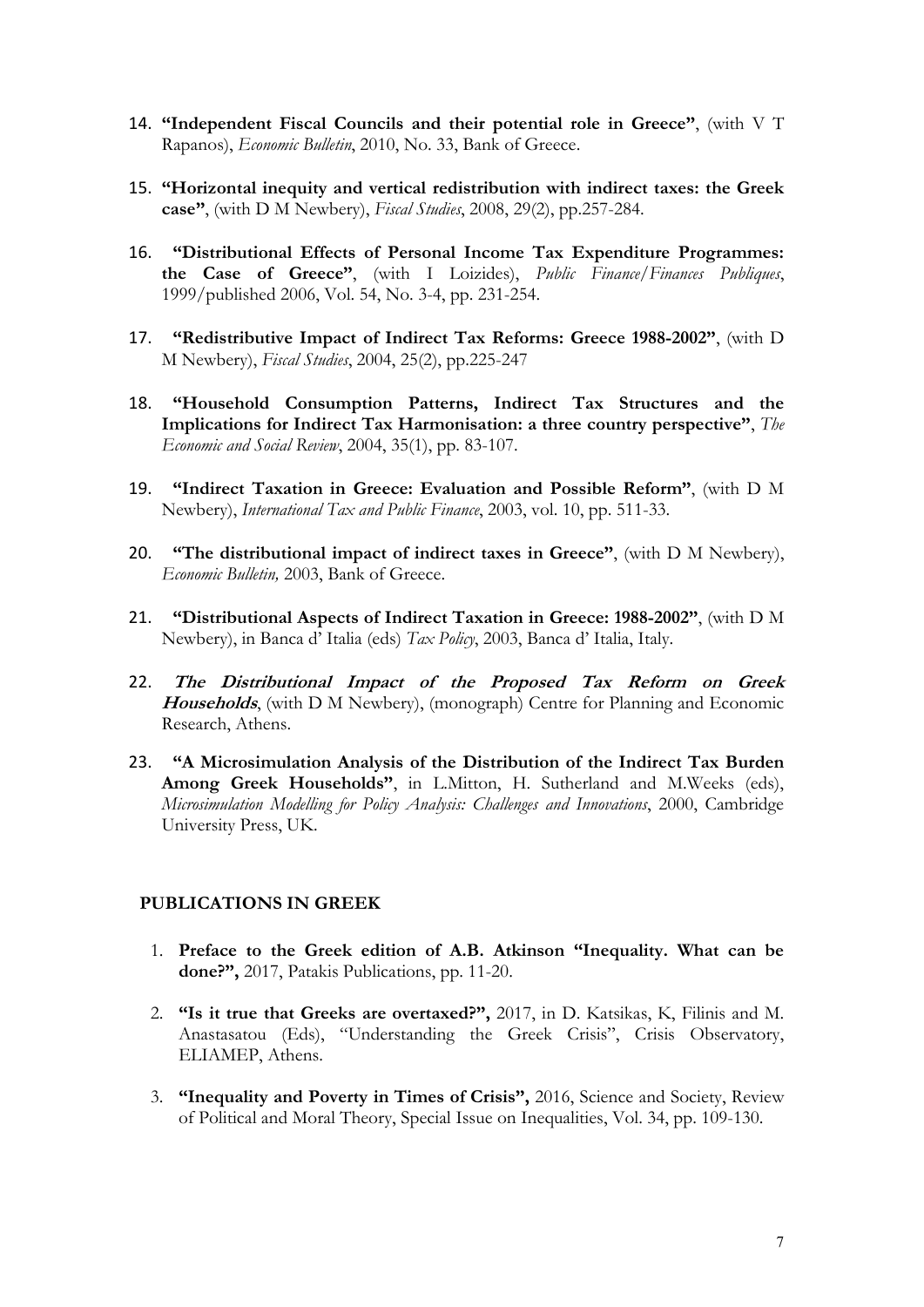- 14. "Independent Fiscal Councils and their potential role in Greece", (with V T Rapanos), Economic Bulletin, 2010, No. 33, Bank of Greece.
- 15. "Horizontal inequity and vertical redistribution with indirect taxes: the Greek case", (with D M Newbery), Fiscal Studies, 2008, 29(2), pp.257-284.
- 16. "Distributional Effects of Personal Income Tax Expenditure Programmes: the Case of Greece", (with I Loizides), *Public Finance*/Finances *Publiques*, 1999/published 2006, Vol. 54, No. 3-4, pp. 231-254.
- 17. "Redistributive Impact of Indirect Tax Reforms: Greece 1988-2002", (with D M Newbery), Fiscal Studies, 2004, 25(2), pp.225-247
- 18. "Household Consumption Patterns, Indirect Tax Structures and the Implications for Indirect Tax Harmonisation: a three country perspective", The Economic and Social Review, 2004, 35(1), pp. 83-107.
- 19. "Indirect Taxation in Greece: Evaluation and Possible Reform", (with D M Newbery), International Tax and Public Finance, 2003, vol. 10, pp. 511-33.
- 20. "The distributional impact of indirect taxes in Greece", (with D M Newbery), Economic Bulletin, 2003, Bank of Greece.
- 21. "Distributional Aspects of Indirect Taxation in Greece: 1988-2002", (with D M Newbery), in Banca d' Italia (eds) Tax Policy, 2003, Banca d' Italia, Italy.
- 22. The Distributional Impact of the Proposed Tax Reform on Greek Households, (with D M Newbery), (monograph) Centre for Planning and Economic Research, Athens.
- 23. "A Microsimulation Analysis of the Distribution of the Indirect Tax Burden Among Greek Households", in L.Mitton, H. Sutherland and M.Weeks (eds), Microsimulation Modelling for Policy Analysis: Challenges and Innovations, 2000, Cambridge University Press, UK.

#### PUBLICATIONS IN GREEK

- 1. Preface to the Greek edition of A.B. Atkinson "Inequality. What can be done?", 2017, Patakis Publications, pp. 11-20.
- 2. "Is it true that Greeks are overtaxed?", 2017, in D. Katsikas, K, Filinis and M. Anastasatou (Eds), "Understanding the Greek Crisis", Crisis Observatory, ELIAMEP, Athens.
- 3. "Inequality and Poverty in Times of Crisis", 2016, Science and Society, Review of Political and Moral Theory, Special Issue on Inequalities, Vol. 34, pp. 109-130.